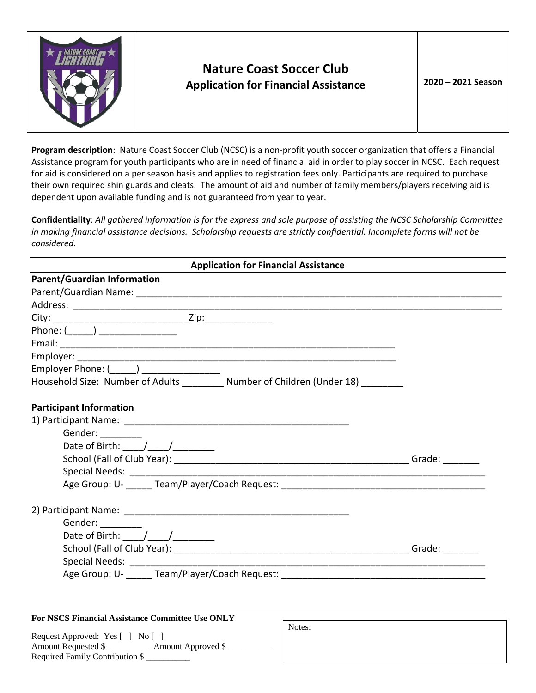

Required Family Contribution \$ \_\_\_\_\_\_\_\_\_\_

## **Nature Coast Soccer Club Application for Financial Assistance <sup>20</sup><sup>20</sup> – <sup>20</sup>2<sup>1</sup> Season**

**Program description**: Nature Coast Soccer Club (NCSC) is a non‐profit youth soccer organization that offers a Financial Assistance program for youth participants who are in need of financial aid in order to play soccer in NCSC. Each request for aid is considered on a per season basis and applies to registration fees only. Participants are required to purchase their own required shin guards and cleats. The amount of aid and number of family members/players receiving aid is dependent upon available funding and is not guaranteed from year to year.

Confidentiality: All gathered information is for the express and sole purpose of assisting the NCSC Scholarship Committee in making financial assistance decisions. Scholarship requests are strictly confidential. Incomplete forms will not be *considered.* 

| <b>Application for Financial Assistance</b>                                       |  |
|-----------------------------------------------------------------------------------|--|
| <b>Parent/Guardian Information</b>                                                |  |
|                                                                                   |  |
|                                                                                   |  |
|                                                                                   |  |
| Phone: $(\_\_\_\_)$                                                               |  |
|                                                                                   |  |
|                                                                                   |  |
| Employer Phone: (______) __________________                                       |  |
| Household Size: Number of Adults _________ Number of Children (Under 18) ________ |  |
| <b>Participant Information</b>                                                    |  |
|                                                                                   |  |
| Gender: _______                                                                   |  |
|                                                                                   |  |
|                                                                                   |  |
|                                                                                   |  |
|                                                                                   |  |
|                                                                                   |  |
| Gender: _________                                                                 |  |
| Date of Birth: ____/____/__________                                               |  |
|                                                                                   |  |
|                                                                                   |  |
|                                                                                   |  |
|                                                                                   |  |
|                                                                                   |  |
| <b>For NSCS Financial Assistance Committee Use ONLY</b><br>Notes:                 |  |
| Request Approved: Yes [ ] No [ ]                                                  |  |
| Amount Requested \$ _____________ Amount Approved \$ _______                      |  |